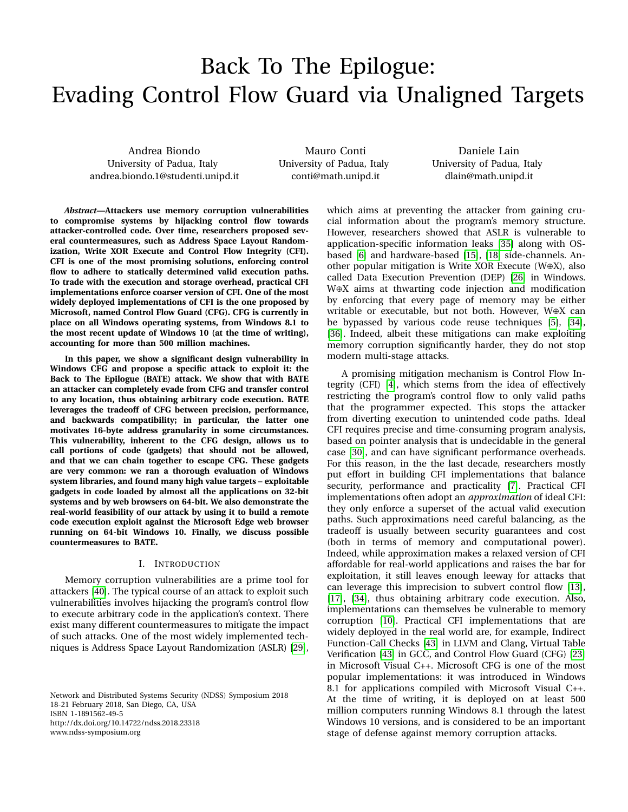# Back To The Epilogue: Evading Control Flow Guard via Unaligned Targets

Andrea Biondo University of Padua, Italy andrea.biondo.1@studenti.unipd.it

Mauro Conti University of Padua, Italy conti@math.unipd.it

Daniele Lain University of Padua, Italy dlain@math.unipd.it

*Abstract***—Attackers use memory corruption vulnerabilities to compromise systems by hijacking control flow towards attacker-controlled code. Over time, researchers proposed several countermeasures, such as Address Space Layout Randomization, Write XOR Execute and Control Flow Integrity (CFI). CFI is one of the most promising solutions, enforcing control flow to adhere to statically determined valid execution paths. To trade with the execution and storage overhead, practical CFI implementations enforce coarser version of CFI. One of the most widely deployed implementations of CFI is the one proposed by Microsoft, named Control Flow Guard (CFG). CFG is currently in place on all Windows operating systems, from Windows 8.1 to the most recent update of Windows 10 (at the time of writing), accounting for more than 500 million machines.**

**In this paper, we show a significant design vulnerability in Windows CFG and propose a specific attack to exploit it: the Back to The Epilogue (BATE) attack. We show that with BATE an attacker can completely evade from CFG and transfer control to any location, thus obtaining arbitrary code execution. BATE leverages the tradeoff of CFG between precision, performance, and backwards compatibility; in particular, the latter one motivates 16-byte address granularity in some circumstances. This vulnerability, inherent to the CFG design, allows us to call portions of code (gadgets) that should not be allowed, and that we can chain together to escape CFG. These gadgets are very common: we ran a thorough evaluation of Windows system libraries, and found many high value targets – exploitable gadgets in code loaded by almost all the applications on 32-bit systems and by web browsers on 64-bit. We also demonstrate the real-world feasibility of our attack by using it to build a remote code execution exploit against the Microsoft Edge web browser running on 64-bit Windows 10. Finally, we discuss possible countermeasures to BATE.**

## I. INTRODUCTION

Memory corruption vulnerabilities are a prime tool for attackers [\[40\]](#page-13-0). The typical course of an attack to exploit such vulnerabilities involves hijacking the program's control flow to execute arbitrary code in the application's context. There exist many different countermeasures to mitigate the impact of such attacks. One of the most widely implemented techniques is Address Space Layout Randomization (ASLR) [\[29\]](#page-13-1),

Network and Distributed Systems Security (NDSS) Symposium 2018 18-21 February 2018, San Diego, CA, USA ISBN 1-1891562-49-5 http://dx.doi.org/10.14722/ndss.2018.23318 www.ndss-symposium.org

which aims at preventing the attacker from gaining crucial information about the program's memory structure. However, researchers showed that ASLR is vulnerable to application-specific information leaks [\[35\]](#page-13-2) along with OSbased [\[6\]](#page-13-3) and hardware-based [\[15\]](#page-13-4), [\[18\]](#page-13-5) side-channels. Another popular mitigation is Write XOR Execute (W⊕X), also called Data Execution Prevention (DEP) [\[26\]](#page-13-6) in Windows. W⊕X aims at thwarting code injection and modification by enforcing that every page of memory may be either writable or executable, but not both. However, W⊕X can be bypassed by various code reuse techniques [\[5\]](#page-13-7), [\[34\]](#page-13-8), [\[36\]](#page-13-9). Indeed, albeit these mitigations can make exploiting memory corruption significantly harder, they do not stop modern multi-stage attacks.

A promising mitigation mechanism is Control Flow Integrity (CFI) [\[4\]](#page-13-10), which stems from the idea of effectively restricting the program's control flow to only valid paths that the programmer expected. This stops the attacker from diverting execution to unintended code paths. Ideal CFI requires precise and time-consuming program analysis, based on pointer analysis that is undecidable in the general case [\[30\]](#page-13-11), and can have significant performance overheads. For this reason, in the the last decade, researchers mostly put effort in building CFI implementations that balance security, performance and practicality [\[7\]](#page-13-12). Practical CFI implementations often adopt an *approximation* of ideal CFI: they only enforce a superset of the actual valid execution paths. Such approximations need careful balancing, as the tradeoff is usually between security guarantees and cost (both in terms of memory and computational power). Indeed, while approximation makes a relaxed version of CFI affordable for real-world applications and raises the bar for exploitation, it still leaves enough leeway for attacks that can leverage this imprecision to subvert control flow [\[13\]](#page-13-13), [\[17\]](#page-13-14), [\[34\]](#page-13-8), thus obtaining arbitrary code execution. Also, implementations can themselves be vulnerable to memory corruption [\[10\]](#page-13-15). Practical CFI implementations that are widely deployed in the real world are, for example, Indirect Function-Call Checks [\[43\]](#page-14-0) in LLVM and Clang, Virtual Table Verification [\[43\]](#page-14-0) in GCC, and Control Flow Guard (CFG) [\[23\]](#page-13-16) in Microsoft Visual C++. Microsoft CFG is one of the most popular implementations: it was introduced in Windows 8.1 for applications compiled with Microsoft Visual C++. At the time of writing, it is deployed on at least 500 million computers running Windows 8.1 through the latest Windows 10 versions, and is considered to be an important stage of defense against memory corruption attacks.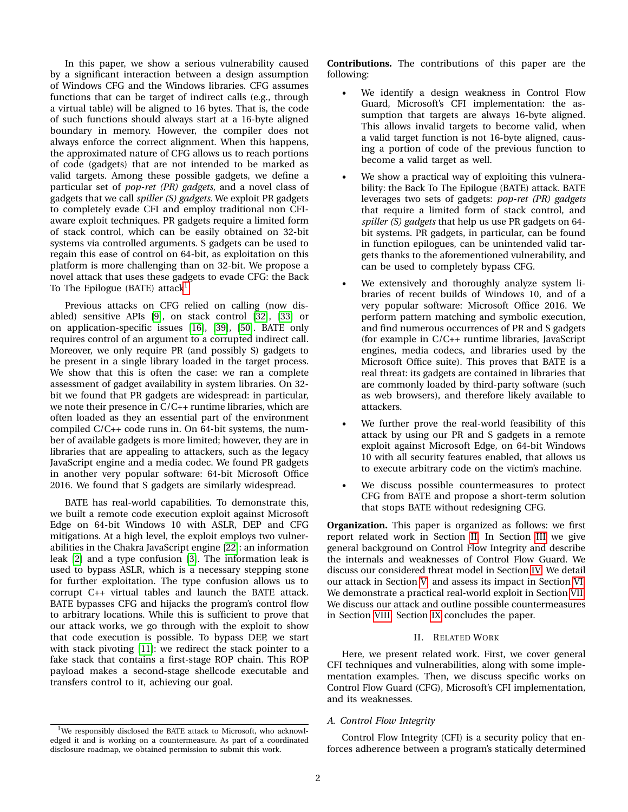In this paper, we show a serious vulnerability caused by a significant interaction between a design assumption of Windows CFG and the Windows libraries. CFG assumes functions that can be target of indirect calls (e.g., through a virtual table) will be aligned to 16 bytes. That is, the code of such functions should always start at a 16-byte aligned boundary in memory. However, the compiler does not always enforce the correct alignment. When this happens, the approximated nature of CFG allows us to reach portions of code (gadgets) that are not intended to be marked as valid targets. Among these possible gadgets, we define a particular set of *pop-ret (PR) gadgets*, and a novel class of gadgets that we call *spiller (S) gadgets*. We exploit PR gadgets to completely evade CFI and employ traditional non CFIaware exploit techniques. PR gadgets require a limited form of stack control, which can be easily obtained on 32-bit systems via controlled arguments. S gadgets can be used to regain this ease of control on 64-bit, as exploitation on this platform is more challenging than on 32-bit. We propose a novel attack that uses these gadgets to evade CFG: the Back To The Epilogue (BATE) attack<sup>[1](#page-1-0)</sup>.

Previous attacks on CFG relied on calling (now disabled) sensitive APIs [\[9\]](#page-13-17), on stack control [\[32\]](#page-13-18), [\[33\]](#page-13-19) or on application-specific issues [\[16\]](#page-13-20), [\[39\]](#page-13-21), [\[50\]](#page-14-1). BATE only requires control of an argument to a corrupted indirect call. Moreover, we only require PR (and possibly S) gadgets to be present in a single library loaded in the target process. We show that this is often the case: we ran a complete assessment of gadget availability in system libraries. On 32 bit we found that PR gadgets are widespread: in particular, we note their presence in C/C++ runtime libraries, which are often loaded as they an essential part of the environment compiled C/C++ code runs in. On 64-bit systems, the number of available gadgets is more limited; however, they are in libraries that are appealing to attackers, such as the legacy JavaScript engine and a media codec. We found PR gadgets in another very popular software: 64-bit Microsoft Office 2016. We found that S gadgets are similarly widespread.

BATE has real-world capabilities. To demonstrate this, we built a remote code execution exploit against Microsoft Edge on 64-bit Windows 10 with ASLR, DEP and CFG mitigations. At a high level, the exploit employs two vulnerabilities in the Chakra JavaScript engine [\[22\]](#page-13-22): an information leak [\[2\]](#page-13-23) and a type confusion [\[3\]](#page-13-24). The information leak is used to bypass ASLR, which is a necessary stepping stone for further exploitation. The type confusion allows us to corrupt C++ virtual tables and launch the BATE attack. BATE bypasses CFG and hijacks the program's control flow to arbitrary locations. While this is sufficient to prove that our attack works, we go through with the exploit to show that code execution is possible. To bypass DEP, we start with stack pivoting [\[11\]](#page-13-25): we redirect the stack pointer to a fake stack that contains a first-stage ROP chain. This ROP payload makes a second-stage shellcode executable and transfers control to it, achieving our goal.

<span id="page-1-0"></span> $1$ We responsibly disclosed the BATE attack to Microsoft, who acknowledged it and is working on a countermeasure. As part of a coordinated disclosure roadmap, we obtained permission to submit this work.

**Contributions.** The contributions of this paper are the following:

- We identify a design weakness in Control Flow Guard, Microsoft's CFI implementation: the assumption that targets are always 16-byte aligned. This allows invalid targets to become valid, when a valid target function is not 16-byte aligned, causing a portion of code of the previous function to become a valid target as well.
- We show a practical way of exploiting this vulnerability: the Back To The Epilogue (BATE) attack. BATE leverages two sets of gadgets: *pop-ret (PR) gadgets* that require a limited form of stack control, and *spiller (S) gadgets* that help us use PR gadgets on 64 bit systems. PR gadgets, in particular, can be found in function epilogues, can be unintended valid targets thanks to the aforementioned vulnerability, and can be used to completely bypass CFG.
- We extensively and thoroughly analyze system libraries of recent builds of Windows 10, and of a very popular software: Microsoft Office 2016. We perform pattern matching and symbolic execution, and find numerous occurrences of PR and S gadgets (for example in C/C++ runtime libraries, JavaScript engines, media codecs, and libraries used by the Microsoft Office suite). This proves that BATE is a real threat: its gadgets are contained in libraries that are commonly loaded by third-party software (such as web browsers), and therefore likely available to attackers.
- We further prove the real-world feasibility of this attack by using our PR and S gadgets in a remote exploit against Microsoft Edge, on 64-bit Windows 10 with all security features enabled, that allows us to execute arbitrary code on the victim's machine.
- We discuss possible countermeasures to protect CFG from BATE and propose a short-term solution that stops BATE without redesigning CFG.

**Organization.** This paper is organized as follows: we first report related work in Section [II.](#page-1-1) In Section [III](#page-3-0) we give general background on Control Flow Integrity and describe the internals and weaknesses of Control Flow Guard. We discuss our considered threat model in Section [IV.](#page-5-0) We detail our attack in Section [V,](#page-5-1) and assess its impact in Section [VI.](#page-9-0) We demonstrate a practical real-world exploit in Section [VII.](#page-10-0) We discuss our attack and outline possible countermeasures in Section [VIII.](#page-12-0) Section [IX](#page-12-1) concludes the paper.

# II. RELATED WORK

<span id="page-1-1"></span>Here, we present related work. First, we cover general CFI techniques and vulnerabilities, along with some implementation examples. Then, we discuss specific works on Control Flow Guard (CFG), Microsoft's CFI implementation, and its weaknesses.

# *A. Control Flow Integrity*

Control Flow Integrity (CFI) is a security policy that enforces adherence between a program's statically determined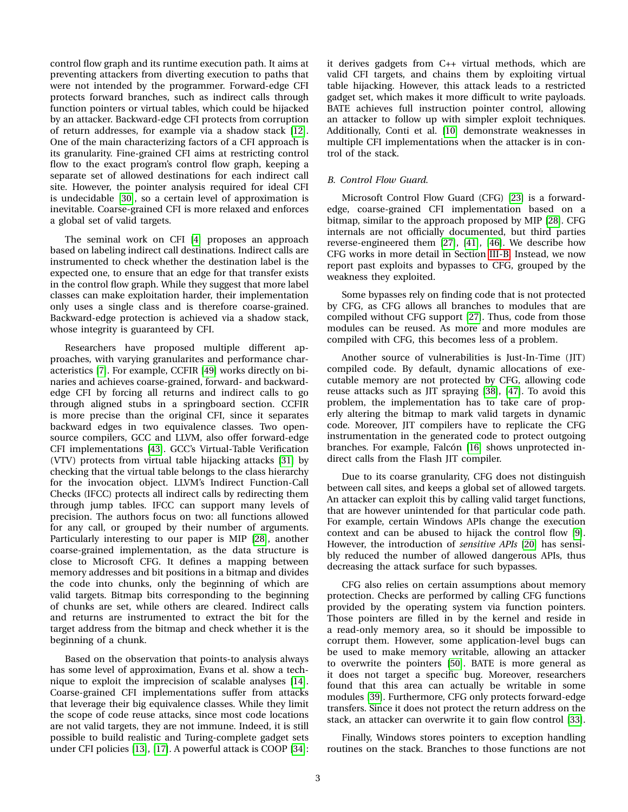control flow graph and its runtime execution path. It aims at preventing attackers from diverting execution to paths that were not intended by the programmer. Forward-edge CFI protects forward branches, such as indirect calls through function pointers or virtual tables, which could be hijacked by an attacker. Backward-edge CFI protects from corruption of return addresses, for example via a shadow stack [\[12\]](#page-13-26). One of the main characterizing factors of a CFI approach is its granularity. Fine-grained CFI aims at restricting control flow to the exact program's control flow graph, keeping a separate set of allowed destinations for each indirect call site. However, the pointer analysis required for ideal CFI is undecidable [\[30\]](#page-13-11), so a certain level of approximation is inevitable. Coarse-grained CFI is more relaxed and enforces a global set of valid targets.

The seminal work on CFI [\[4\]](#page-13-10) proposes an approach based on labeling indirect call destinations. Indirect calls are instrumented to check whether the destination label is the expected one, to ensure that an edge for that transfer exists in the control flow graph. While they suggest that more label classes can make exploitation harder, their implementation only uses a single class and is therefore coarse-grained. Backward-edge protection is achieved via a shadow stack, whose integrity is guaranteed by CFI.

Researchers have proposed multiple different approaches, with varying granularites and performance characteristics [\[7\]](#page-13-12). For example, CCFIR [\[49\]](#page-14-2) works directly on binaries and achieves coarse-grained, forward- and backwardedge CFI by forcing all returns and indirect calls to go through aligned stubs in a springboard section. CCFIR is more precise than the original CFI, since it separates backward edges in two equivalence classes. Two opensource compilers, GCC and LLVM, also offer forward-edge CFI implementations [\[43\]](#page-14-0). GCC's Virtual-Table Verification (VTV) protects from virtual table hijacking attacks [\[31\]](#page-13-27) by checking that the virtual table belongs to the class hierarchy for the invocation object. LLVM's Indirect Function-Call Checks (IFCC) protects all indirect calls by redirecting them through jump tables. IFCC can support many levels of precision. The authors focus on two: all functions allowed for any call, or grouped by their number of arguments. Particularly interesting to our paper is MIP [\[28\]](#page-13-28), another coarse-grained implementation, as the data structure is close to Microsoft CFG. It defines a mapping between memory addresses and bit positions in a bitmap and divides the code into chunks, only the beginning of which are valid targets. Bitmap bits corresponding to the beginning of chunks are set, while others are cleared. Indirect calls and returns are instrumented to extract the bit for the target address from the bitmap and check whether it is the beginning of a chunk.

Based on the observation that points-to analysis always has some level of approximation, Evans et al. show a technique to exploit the imprecision of scalable analyses [\[14\]](#page-13-29). Coarse-grained CFI implementations suffer from attacks that leverage their big equivalence classes. While they limit the scope of code reuse attacks, since most code locations are not valid targets, they are not immune. Indeed, it is still possible to build realistic and Turing-complete gadget sets under CFI policies [\[13\]](#page-13-13), [\[17\]](#page-13-14). A powerful attack is COOP [\[34\]](#page-13-8): it derives gadgets from C++ virtual methods, which are valid CFI targets, and chains them by exploiting virtual table hijacking. However, this attack leads to a restricted gadget set, which makes it more difficult to write payloads. BATE achieves full instruction pointer control, allowing an attacker to follow up with simpler exploit techniques. Additionally, Conti et al. [\[10\]](#page-13-15) demonstrate weaknesses in multiple CFI implementations when the attacker is in control of the stack.

# *B. Control Flow Guard.*

Microsoft Control Flow Guard (CFG) [\[23\]](#page-13-16) is a forwardedge, coarse-grained CFI implementation based on a bitmap, similar to the approach proposed by MIP [\[28\]](#page-13-28). CFG internals are not officially documented, but third parties reverse-engineered them [\[27\]](#page-13-30), [\[41\]](#page-13-31), [\[46\]](#page-14-3). We describe how CFG works in more detail in Section [III-B.](#page-4-0) Instead, we now report past exploits and bypasses to CFG, grouped by the weakness they exploited.

Some bypasses rely on finding code that is not protected by CFG, as CFG allows all branches to modules that are compiled without CFG support [\[27\]](#page-13-30). Thus, code from those modules can be reused. As more and more modules are compiled with CFG, this becomes less of a problem.

Another source of vulnerabilities is Just-In-Time (JIT) compiled code. By default, dynamic allocations of executable memory are not protected by CFG, allowing code reuse attacks such as JIT spraying [\[38\]](#page-13-32), [\[47\]](#page-14-4). To avoid this problem, the implementation has to take care of properly altering the bitmap to mark valid targets in dynamic code. Moreover, JIT compilers have to replicate the CFG instrumentation in the generated code to protect outgoing branches. For example, Falcón [\[16\]](#page-13-20) shows unprotected indirect calls from the Flash JIT compiler.

Due to its coarse granularity, CFG does not distinguish between call sites, and keeps a global set of allowed targets. An attacker can exploit this by calling valid target functions, that are however unintended for that particular code path. For example, certain Windows APIs change the execution context and can be abused to hijack the control flow [\[9\]](#page-13-17). However, the introduction of *sensitive APIs* [\[20\]](#page-13-33) has sensibly reduced the number of allowed dangerous APIs, thus decreasing the attack surface for such bypasses.

CFG also relies on certain assumptions about memory protection. Checks are performed by calling CFG functions provided by the operating system via function pointers. Those pointers are filled in by the kernel and reside in a read-only memory area, so it should be impossible to corrupt them. However, some application-level bugs can be used to make memory writable, allowing an attacker to overwrite the pointers [\[50\]](#page-14-1). BATE is more general as it does not target a specific bug. Moreover, researchers found that this area can actually be writable in some modules [\[39\]](#page-13-21). Furthermore, CFG only protects forward-edge transfers. Since it does not protect the return address on the stack, an attacker can overwrite it to gain flow control [\[33\]](#page-13-19).

Finally, Windows stores pointers to exception handling routines on the stack. Branches to those functions are not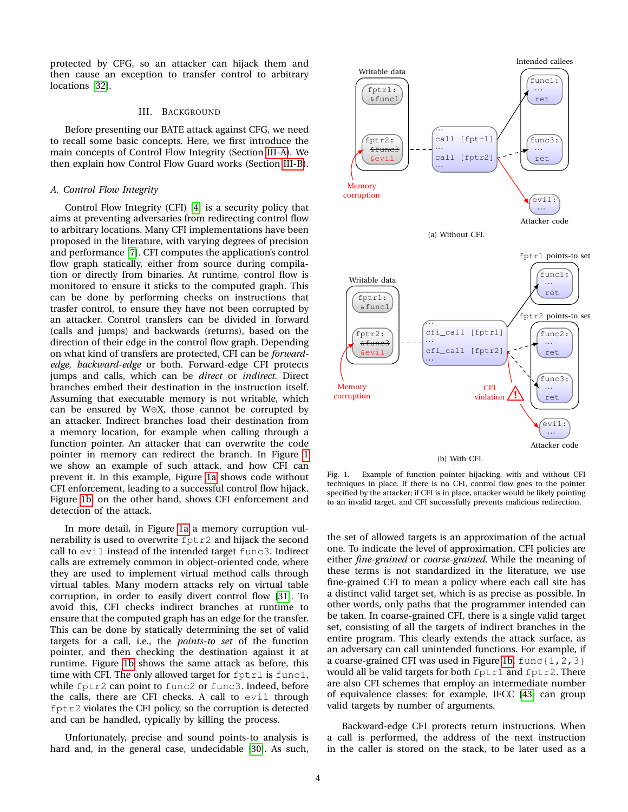protected by CFG, so an attacker can hijack them and then cause an exception to transfer control to arbitrary locations [\[32\]](#page-13-18).

#### III. BACKGROUND

<span id="page-3-0"></span>Before presenting our BATE attack against CFG, we need to recall some basic concepts. Here, we first introduce the main concepts of Control Flow Integrity (Section [III-A\)](#page-3-1). We then explain how Control Flow Guard works (Section [III-B\)](#page-4-0).

#### <span id="page-3-1"></span>*A. Control Flow Integrity*

Control Flow Integrity (CFI) [\[4\]](#page-13-10) is a security policy that aims at preventing adversaries from redirecting control flow to arbitrary locations. Many CFI implementations have been proposed in the literature, with varying degrees of precision and performance [\[7\]](#page-13-12). CFI computes the application's control flow graph statically, either from source during compilation or directly from binaries. At runtime, control flow is monitored to ensure it sticks to the computed graph. This can be done by performing checks on instructions that trasfer control, to ensure they have not been corrupted by an attacker. Control transfers can be divided in forward (calls and jumps) and backwards (returns), based on the direction of their edge in the control flow graph. Depending on what kind of transfers are protected, CFI can be *forwardedge*, *backward-edge* or both. Forward-edge CFI protects jumps and calls, which can be *direct* or *indirect*. Direct branches embed their destination in the instruction itself. Assuming that executable memory is not writable, which can be ensured by W⊕X, those cannot be corrupted by an attacker. Indirect branches load their destination from a memory location, for example when calling through a function pointer. An attacker that can overwrite the code pointer in memory can redirect the branch. In Figure [1](#page-3-2) we show an example of such attack, and how CFI can prevent it. In this example, Figure [1a](#page-3-3) shows code without CFI enforcement, leading to a successful control flow hijack. Figure [1b,](#page-3-4) on the other hand, shows CFI enforcement and detection of the attack.

In more detail, in Figure [1a](#page-3-3) a memory corruption vulnerability is used to overwrite fptr2 and hijack the second call to evil instead of the intended target func3. Indirect calls are extremely common in object-oriented code, where they are used to implement virtual method calls through virtual tables. Many modern attacks rely on virtual table corruption, in order to easily divert control flow [\[31\]](#page-13-27). To avoid this, CFI checks indirect branches at runtime to ensure that the computed graph has an edge for the transfer. This can be done by statically determining the set of valid targets for a call, i.e., the *points-to set* of the function pointer, and then checking the destination against it at runtime. Figure [1b](#page-3-4) shows the same attack as before, this time with CFI. The only allowed target for fptr1 is func1, while fptr2 can point to func2 or func3. Indeed, before the calls, there are CFI checks. A call to evil through fptr2 violates the CFI policy, so the corruption is detected and can be handled, typically by killing the process.

Unfortunately, precise and sound points-to analysis is hard and, in the general case, undecidable [\[30\]](#page-13-11). As such,

<span id="page-3-4"></span><span id="page-3-3"></span>

<span id="page-3-2"></span>Fig. 1. Example of function pointer hijacking, with and without CFI techniques in place. If there is no CFI, control flow goes to the pointer specified by the attacker; if CFI is in place, attacker would be likely pointing to an invalid target, and CFI successfully prevents malicious redirection.

the set of allowed targets is an approximation of the actual one. To indicate the level of approximation, CFI policies are either *fine-grained* or *coarse-grained*. While the meaning of these terms is not standardized in the literature, we use fine-grained CFI to mean a policy where each call site has a distinct valid target set, which is as precise as possible. In other words, only paths that the programmer intended can be taken. In coarse-grained CFI, there is a single valid target set, consisting of all the targets of indirect branches in the entire program. This clearly extends the attack surface, as an adversary can call unintended functions. For example, if a coarse-grained CFI was used in Figure [1b,](#page-3-4)  $func{1,2,3}$ would all be valid targets for both fptr1 and fptr2. There are also CFI schemes that employ an intermediate number of equivalence classes: for example, IFCC [\[43\]](#page-14-0) can group valid targets by number of arguments.

Backward-edge CFI protects return instructions. When a call is performed, the address of the next instruction in the caller is stored on the stack, to be later used as a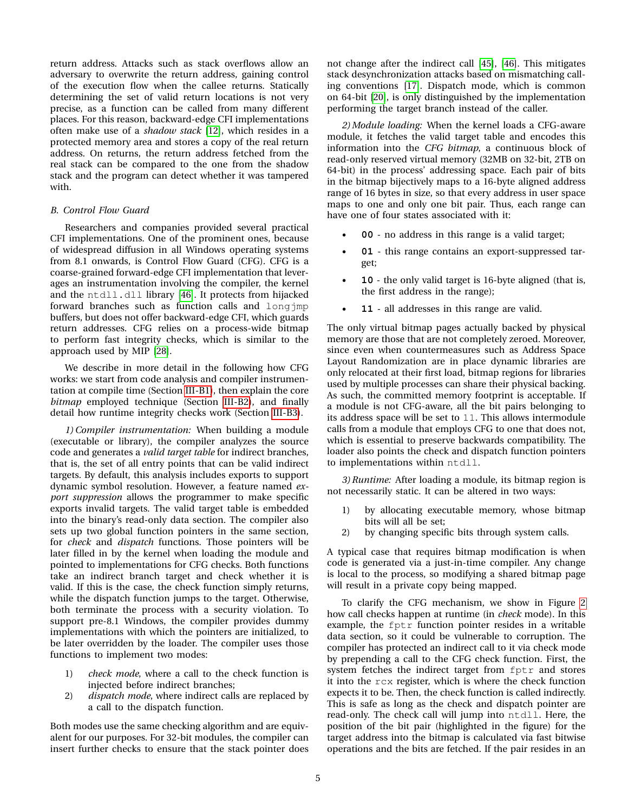return address. Attacks such as stack overflows allow an adversary to overwrite the return address, gaining control of the execution flow when the callee returns. Statically determining the set of valid return locations is not very precise, as a function can be called from many different places. For this reason, backward-edge CFI implementations often make use of a *shadow stack* [\[12\]](#page-13-26), which resides in a protected memory area and stores a copy of the real return address. On returns, the return address fetched from the real stack can be compared to the one from the shadow stack and the program can detect whether it was tampered with.

## <span id="page-4-0"></span>*B. Control Flow Guard*

Researchers and companies provided several practical CFI implementations. One of the prominent ones, because of widespread diffusion in all Windows operating systems from 8.1 onwards, is Control Flow Guard (CFG). CFG is a coarse-grained forward-edge CFI implementation that leverages an instrumentation involving the compiler, the kernel and the ntdll.dll library [\[46\]](#page-14-3). It protects from hijacked forward branches such as function calls and longjmp buffers, but does not offer backward-edge CFI, which guards return addresses. CFG relies on a process-wide bitmap to perform fast integrity checks, which is similar to the approach used by MIP [\[28\]](#page-13-28).

We describe in more detail in the following how CFG works: we start from code analysis and compiler instrumentation at compile time (Section [III-B1\)](#page-4-1), then explain the core *bitmap* employed technique (Section [III-B2\)](#page-4-2), and finally detail how runtime integrity checks work (Section [III-B3\)](#page-4-3).

<span id="page-4-1"></span>*1) Compiler instrumentation:* When building a module (executable or library), the compiler analyzes the source code and generates a *valid target table* for indirect branches, that is, the set of all entry points that can be valid indirect targets. By default, this analysis includes exports to support dynamic symbol resolution. However, a feature named *export suppression* allows the programmer to make specific exports invalid targets. The valid target table is embedded into the binary's read-only data section. The compiler also sets up two global function pointers in the same section, for *check* and *dispatch* functions. Those pointers will be later filled in by the kernel when loading the module and pointed to implementations for CFG checks. Both functions take an indirect branch target and check whether it is valid. If this is the case, the check function simply returns, while the dispatch function jumps to the target. Otherwise, both terminate the process with a security violation. To support pre-8.1 Windows, the compiler provides dummy implementations with which the pointers are initialized, to be later overridden by the loader. The compiler uses those functions to implement two modes:

- 1) *check mode*, where a call to the check function is injected before indirect branches;
- 2) *dispatch mode*, where indirect calls are replaced by a call to the dispatch function.

Both modes use the same checking algorithm and are equivalent for our purposes. For 32-bit modules, the compiler can insert further checks to ensure that the stack pointer does not change after the indirect call [\[45\]](#page-14-5), [\[46\]](#page-14-3). This mitigates stack desynchronization attacks based on mismatching calling conventions [\[17\]](#page-13-14). Dispatch mode, which is common on 64-bit [\[20\]](#page-13-33), is only distinguished by the implementation performing the target branch instead of the caller.

<span id="page-4-2"></span>*2) Module loading:* When the kernel loads a CFG-aware module, it fetches the valid target table and encodes this information into the *CFG bitmap*, a continuous block of read-only reserved virtual memory (32MB on 32-bit, 2TB on 64-bit) in the process' addressing space. Each pair of bits in the bitmap bijectively maps to a 16-byte aligned address range of 16 bytes in size, so that every address in user space maps to one and only one bit pair. Thus, each range can have one of four states associated with it:

- **00** no address in this range is a valid target;
- **01** this range contains an export-suppressed target;
- **10** the only valid target is 16-byte aligned (that is, the first address in the range);
- **11** all addresses in this range are valid.

The only virtual bitmap pages actually backed by physical memory are those that are not completely zeroed. Moreover, since even when countermeasures such as Address Space Layout Randomization are in place dynamic libraries are only relocated at their first load, bitmap regions for libraries used by multiple processes can share their physical backing. As such, the committed memory footprint is acceptable. If a module is not CFG-aware, all the bit pairs belonging to its address space will be set to 11. This allows intermodule calls from a module that employs CFG to one that does not, which is essential to preserve backwards compatibility. The loader also points the check and dispatch function pointers to implementations within ntdll.

<span id="page-4-3"></span>*3) Runtime:* After loading a module, its bitmap region is not necessarily static. It can be altered in two ways:

- 1) by allocating executable memory, whose bitmap bits will all be set;
- 2) by changing specific bits through system calls.

A typical case that requires bitmap modification is when code is generated via a just-in-time compiler. Any change is local to the process, so modifying a shared bitmap page will result in a private copy being mapped.

To clarify the CFG mechanism, we show in Figure [2](#page-5-2) how call checks happen at runtime (in *check* mode). In this example, the fptr function pointer resides in a writable data section, so it could be vulnerable to corruption. The compiler has protected an indirect call to it via check mode by prepending a call to the CFG check function. First, the system fetches the indirect target from fptr and stores it into the rcx register, which is where the check function expects it to be. Then, the check function is called indirectly. This is safe as long as the check and dispatch pointer are read-only. The check call will jump into ntdll. Here, the position of the bit pair (highlighted in the figure) for the target address into the bitmap is calculated via fast bitwise operations and the bits are fetched. If the pair resides in an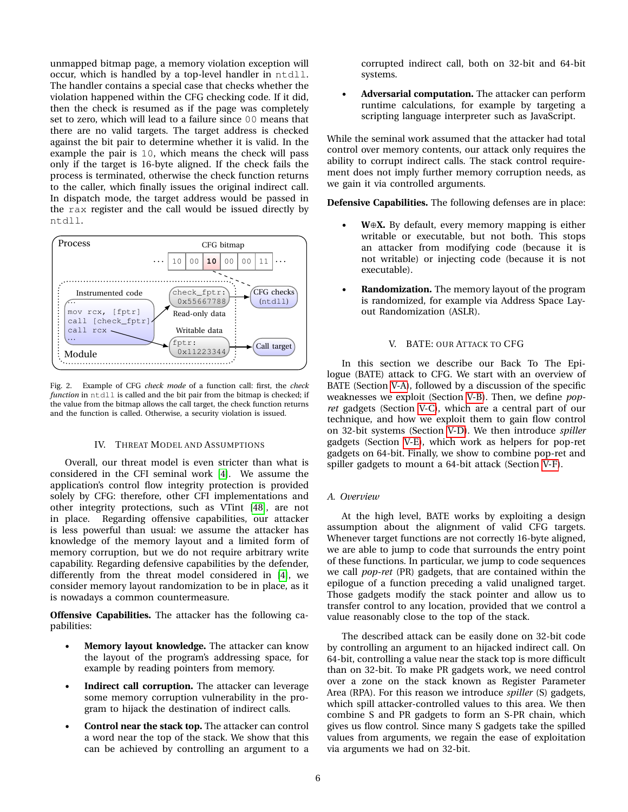unmapped bitmap page, a memory violation exception will occur, which is handled by a top-level handler in ntdll. The handler contains a special case that checks whether the violation happened within the CFG checking code. If it did, then the check is resumed as if the page was completely set to zero, which will lead to a failure since 00 means that there are no valid targets. The target address is checked against the bit pair to determine whether it is valid. In the example the pair is 10, which means the check will pass only if the target is 16-byte aligned. If the check fails the process is terminated, otherwise the check function returns to the caller, which finally issues the original indirect call. In dispatch mode, the target address would be passed in the rax register and the call would be issued directly by ntdll.



<span id="page-5-2"></span>Fig. 2. Example of CFG *check mode* of a function call: first, the *check function* in ntdll is called and the bit pair from the bitmap is checked; if the value from the bitmap allows the call target, the check function returns and the function is called. Otherwise, a security violation is issued.

#### IV. THREAT MODEL AND ASSUMPTIONS

<span id="page-5-0"></span>Overall, our threat model is even stricter than what is considered in the CFI seminal work [\[4\]](#page-13-10). We assume the application's control flow integrity protection is provided solely by CFG: therefore, other CFI implementations and other integrity protections, such as VTint [\[48\]](#page-14-6), are not in place. Regarding offensive capabilities, our attacker is less powerful than usual: we assume the attacker has knowledge of the memory layout and a limited form of memory corruption, but we do not require arbitrary write capability. Regarding defensive capabilities by the defender, differently from the threat model considered in [\[4\]](#page-13-10), we consider memory layout randomization to be in place, as it is nowadays a common countermeasure.

**Offensive Capabilities.** The attacker has the following capabilities:

- **Memory layout knowledge.** The attacker can know the layout of the program's addressing space, for example by reading pointers from memory.
- Indirect call corruption. The attacker can leverage some memory corruption vulnerability in the program to hijack the destination of indirect calls.
- **Control near the stack top.** The attacker can control a word near the top of the stack. We show that this can be achieved by controlling an argument to a

corrupted indirect call, both on 32-bit and 64-bit systems.

• **Adversarial computation.** The attacker can perform runtime calculations, for example by targeting a scripting language interpreter such as JavaScript.

While the seminal work assumed that the attacker had total control over memory contents, our attack only requires the ability to corrupt indirect calls. The stack control requirement does not imply further memory corruption needs, as we gain it via controlled arguments.

**Defensive Capabilities.** The following defenses are in place:

- **W**⊕**X.** By default, every memory mapping is either writable or executable, but not both. This stops an attacker from modifying code (because it is not writable) or injecting code (because it is not executable).
- **Randomization.** The memory layout of the program is randomized, for example via Address Space Layout Randomization (ASLR).

# V. BATE: OUR ATTACK TO CFG

<span id="page-5-1"></span>In this section we describe our Back To The Epilogue (BATE) attack to CFG. We start with an overview of BATE (Section [V-A\)](#page-5-3), followed by a discussion of the specific weaknesses we exploit (Section [V-B\)](#page-6-0). Then, we define *popret* gadgets (Section [V-C\)](#page-6-1), which are a central part of our technique, and how we exploit them to gain flow control on 32-bit systems (Section [V-D\)](#page-7-0). We then introduce *spiller* gadgets (Section [V-E\)](#page-7-1), which work as helpers for pop-ret gadgets on 64-bit. Finally, we show to combine pop-ret and spiller gadgets to mount a 64-bit attack (Section [V-F\)](#page-8-0).

## <span id="page-5-3"></span>*A. Overview*

At the high level, BATE works by exploiting a design assumption about the alignment of valid CFG targets. Whenever target functions are not correctly 16-byte aligned, we are able to jump to code that surrounds the entry point of these functions. In particular, we jump to code sequences we call *pop-ret* (PR) gadgets, that are contained within the epilogue of a function preceding a valid unaligned target. Those gadgets modify the stack pointer and allow us to transfer control to any location, provided that we control a value reasonably close to the top of the stack.

The described attack can be easily done on 32-bit code by controlling an argument to an hijacked indirect call. On 64-bit, controlling a value near the stack top is more difficult than on 32-bit. To make PR gadgets work, we need control over a zone on the stack known as Register Parameter Area (RPA). For this reason we introduce *spiller* (S) gadgets, which spill attacker-controlled values to this area. We then combine S and PR gadgets to form an S-PR chain, which gives us flow control. Since many S gadgets take the spilled values from arguments, we regain the ease of exploitation via arguments we had on 32-bit.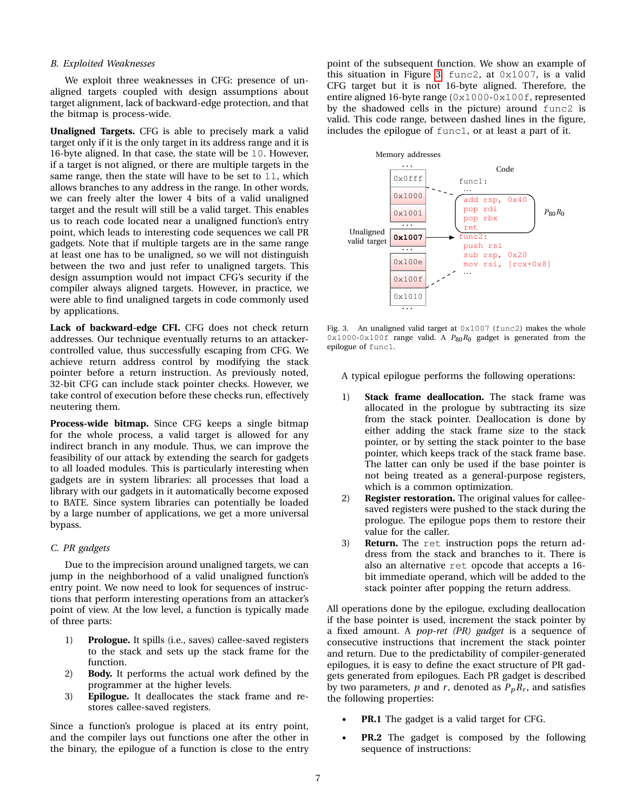#### <span id="page-6-0"></span>*B. Exploited Weaknesses*

We exploit three weaknesses in CFG: presence of unaligned targets coupled with design assumptions about target alignment, lack of backward-edge protection, and that the bitmap is process-wide.

**Unaligned Targets.** CFG is able to precisely mark a valid target only if it is the only target in its address range and it is 16-byte aligned. In that case, the state will be 10. However, if a target is not aligned, or there are multiple targets in the same range, then the state will have to be set to 11, which allows branches to any address in the range. In other words, we can freely alter the lower 4 bits of a valid unaligned target and the result will still be a valid target. This enables us to reach code located near a unaligned function's entry point, which leads to interesting code sequences we call PR gadgets. Note that if multiple targets are in the same range at least one has to be unaligned, so we will not distinguish between the two and just refer to unaligned targets. This design assumption would not impact CFG's security if the compiler always aligned targets. However, in practice, we were able to find unaligned targets in code commonly used by applications.

**Lack of backward-edge CFI.** CFG does not check return addresses. Our technique eventually returns to an attackercontrolled value, thus successfully escaping from CFG. We achieve return address control by modifying the stack pointer before a return instruction. As previously noted, 32-bit CFG can include stack pointer checks. However, we take control of execution before these checks run, effectively neutering them.

**Process-wide bitmap.** Since CFG keeps a single bitmap for the whole process, a valid target is allowed for any indirect branch in any module. Thus, we can improve the feasibility of our attack by extending the search for gadgets to all loaded modules. This is particularly interesting when gadgets are in system libraries: all processes that load a library with our gadgets in it automatically become exposed to BATE. Since system libraries can potentially be loaded by a large number of applications, we get a more universal bypass.

## <span id="page-6-1"></span>*C. PR gadgets*

Due to the imprecision around unaligned targets, we can jump in the neighborhood of a valid unaligned function's entry point. We now need to look for sequences of instructions that perform interesting operations from an attacker's point of view. At the low level, a function is typically made of three parts:

- 1) **Prologue.** It spills (i.e., saves) callee-saved registers to the stack and sets up the stack frame for the function.
- 2) **Body.** It performs the actual work defined by the programmer at the higher levels.
- 3) **Epilogue.** It deallocates the stack frame and restores callee-saved registers.

Since a function's prologue is placed at its entry point, and the compiler lays out functions one after the other in the binary, the epilogue of a function is close to the entry point of the subsequent function. We show an example of this situation in Figure [3:](#page-6-2) func2, at 0x1007, is a valid CFG target but it is not 16-byte aligned. Therefore, the entire aligned 16-byte range (0x1000-0x100f, represented by the shadowed cells in the picture) around func2 is valid. This code range, between dashed lines in the figure, includes the epilogue of func1, or at least a part of it.



<span id="page-6-2"></span>Fig. 3. An unaligned valid target at 0x1007 (func2) makes the whole 0x1000-0x100f range valid. A  $P_{80}R_0$  gadget is generated from the epilogue of func1.

A typical epilogue performs the following operations:

- 1) **Stack frame deallocation.** The stack frame was allocated in the prologue by subtracting its size from the stack pointer. Deallocation is done by either adding the stack frame size to the stack pointer, or by setting the stack pointer to the base pointer, which keeps track of the stack frame base. The latter can only be used if the base pointer is not being treated as a general-purpose registers, which is a common optimization.
- 2) **Register restoration.** The original values for calleesaved registers were pushed to the stack during the prologue. The epilogue pops them to restore their value for the caller.
- 3) **Return.** The ret instruction pops the return address from the stack and branches to it. There is also an alternative ret opcode that accepts a 16 bit immediate operand, which will be added to the stack pointer after popping the return address.

All operations done by the epilogue, excluding deallocation if the base pointer is used, increment the stack pointer by a fixed amount. A *pop-ret (PR) gadget* is a sequence of consecutive instructions that increment the stack pointer and return. Due to the predictability of compiler-generated epilogues, it is easy to define the exact structure of PR gadgets generated from epilogues. Each PR gadget is described by two parameters,  $p$  and  $r$ , denoted as  $P_pR_r$ , and satisfies the following properties:

- **PR.1** The gadget is a valid target for CFG.
- **PR.2** The gadget is composed by the following sequence of instructions: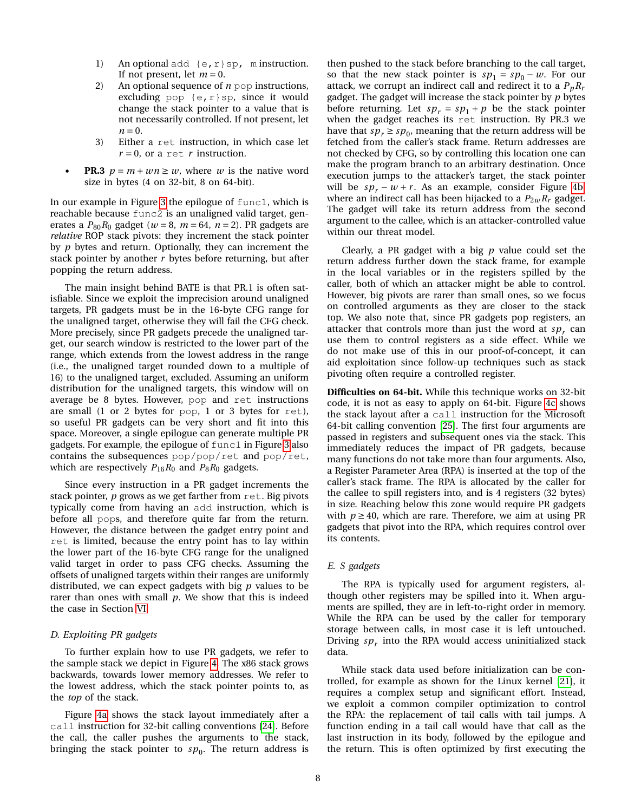- 1) An optional add  $\{e, r\}$ sp, m instruction. If not present, let  $m = 0$ .
- 2) An optional sequence of *n* pop instructions, excluding pop  $\{e, r\}$ sp, since it would change the stack pointer to a value that is not necessarily controlled. If not present, let  $n = 0$ .
- 3) Either a ret instruction, in which case let  $r = 0$ , or a ret *r* instruction.
- **PR.3**  $p = m + wn \geq w$ , where *w* is the native word size in bytes (4 on 32-bit, 8 on 64-bit).

In our example in Figure [3](#page-6-2) the epilogue of func1, which is reachable because func2 is an unaligned valid target, generates a  $P_{80}R_0$  gadget ( $w = 8$ ,  $m = 64$ ,  $n = 2$ ). PR gadgets are *relative* ROP stack pivots: they increment the stack pointer by *p* bytes and return. Optionally, they can increment the stack pointer by another *r* bytes before returning, but after popping the return address.

The main insight behind BATE is that PR.1 is often satisfiable. Since we exploit the imprecision around unaligned targets, PR gadgets must be in the 16-byte CFG range for the unaligned target, otherwise they will fail the CFG check. More precisely, since PR gadgets precede the unaligned target, our search window is restricted to the lower part of the range, which extends from the lowest address in the range (i.e., the unaligned target rounded down to a multiple of 16) to the unaligned target, excluded. Assuming an uniform distribution for the unaligned targets, this window will on average be 8 bytes. However, pop and ret instructions are small (1 or 2 bytes for pop, 1 or 3 bytes for ret), so useful PR gadgets can be very short and fit into this space. Moreover, a single epilogue can generate multiple PR gadgets. For example, the epilogue of func1 in Figure [3](#page-6-2) also contains the subsequences pop/pop/ret and pop/ret, which are respectively  $P_{16}R_0$  and  $P_8R_0$  gadgets.

Since every instruction in a PR gadget increments the stack pointer, *p* grows as we get farther from ret. Big pivots typically come from having an add instruction, which is before all pops, and therefore quite far from the return. However, the distance between the gadget entry point and ret is limited, because the entry point has to lay within the lower part of the 16-byte CFG range for the unaligned valid target in order to pass CFG checks. Assuming the offsets of unaligned targets within their ranges are uniformly distributed, we can expect gadgets with big *p* values to be rarer than ones with small *p*. We show that this is indeed the case in Section [VI.](#page-9-0)

## <span id="page-7-0"></span>*D. Exploiting PR gadgets*

To further explain how to use PR gadgets, we refer to the sample stack we depict in Figure [4.](#page-8-1) The x86 stack grows backwards, towards lower memory addresses. We refer to the lowest address, which the stack pointer points to, as the *top* of the stack.

Figure [4a](#page-8-2) shows the stack layout immediately after a call instruction for 32-bit calling conventions [\[24\]](#page-13-34). Before the call, the caller pushes the arguments to the stack, bringing the stack pointer to  $sp_0$ . The return address is

then pushed to the stack before branching to the call target, so that the new stack pointer is  $sp_1 = sp_0 - w$ . For our attack, we corrupt an indirect call and redirect it to a  $P_pR_r$ gadget. The gadget will increase the stack pointer by *p* bytes before returning. Let  $sp_r = sp_1 + p$  be the stack pointer when the gadget reaches its ret instruction. By PR.3 we have that  $sp_r \ge sp_0$ , meaning that the return address will be fetched from the caller's stack frame. Return addresses are not checked by CFG, so by controlling this location one can make the program branch to an arbitrary destination. Once execution jumps to the attacker's target, the stack pointer will be  $sp_r - w + r$ . As an example, consider Figure [4b,](#page-8-3) where an indirect call has been hijacked to a  $P_{2w}R_r$  gadget. The gadget will take its return address from the second argument to the callee, which is an attacker-controlled value within our threat model.

Clearly, a PR gadget with a big *p* value could set the return address further down the stack frame, for example in the local variables or in the registers spilled by the caller, both of which an attacker might be able to control. However, big pivots are rarer than small ones, so we focus on controlled arguments as they are closer to the stack top. We also note that, since PR gadgets pop registers, an attacker that controls more than just the word at  $sp<sub>r</sub>$  can use them to control registers as a side effect. While we do not make use of this in our proof-of-concept, it can aid exploitation since follow-up techniques such as stack pivoting often require a controlled register.

**Difficulties on 64-bit.** While this technique works on 32-bit code, it is not as easy to apply on 64-bit. Figure [4c](#page-8-4) shows the stack layout after a call instruction for the Microsoft 64-bit calling convention [\[25\]](#page-13-35). The first four arguments are passed in registers and subsequent ones via the stack. This immediately reduces the impact of PR gadgets, because many functions do not take more than four arguments. Also, a Register Parameter Area (RPA) is inserted at the top of the caller's stack frame. The RPA is allocated by the caller for the callee to spill registers into, and is 4 registers (32 bytes) in size. Reaching below this zone would require PR gadgets with  $p \ge 40$ , which are rare. Therefore, we aim at using PR gadgets that pivot into the RPA, which requires control over its contents.

#### <span id="page-7-1"></span>*E. S gadgets*

The RPA is typically used for argument registers, although other registers may be spilled into it. When arguments are spilled, they are in left-to-right order in memory. While the RPA can be used by the caller for temporary storage between calls, in most case it is left untouched. Driving  $sp<sub>r</sub>$  into the RPA would access uninitialized stack data.

While stack data used before initialization can be controlled, for example as shown for the Linux kernel [\[21\]](#page-13-36), it requires a complex setup and significant effort. Instead, we exploit a common compiler optimization to control the RPA: the replacement of tail calls with tail jumps. A function ending in a tail call would have that call as the last instruction in its body, followed by the epilogue and the return. This is often optimized by first executing the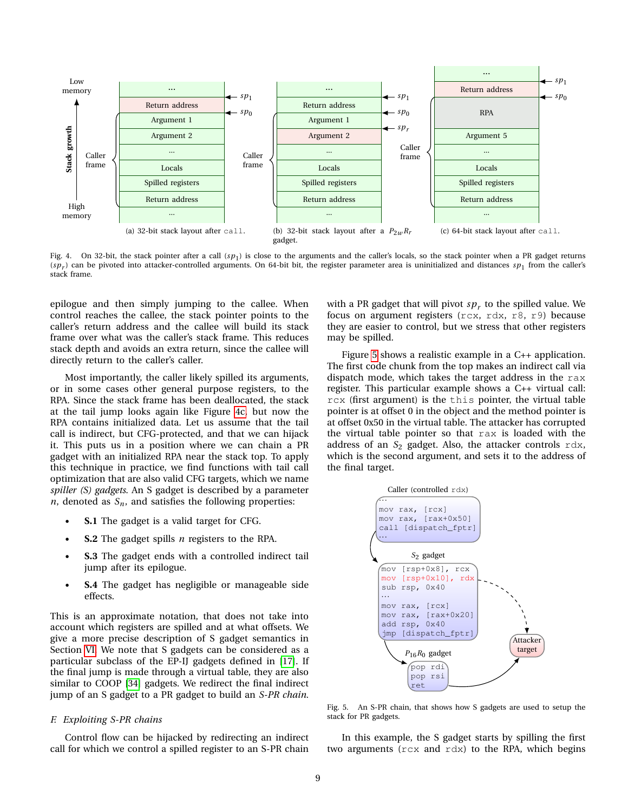

<span id="page-8-2"></span><span id="page-8-1"></span>Fig. 4. On 32-bit, the stack pointer after a call (*sp*<sup>1</sup> ) is close to the arguments and the caller's locals, so the stack pointer when a PR gadget returns  $(sp_r)$  can be pivoted into attacker-controlled arguments. On 64-bit bit, the register parameter area is uninitialized and distances  $sp_1$  from the caller's stack frame.

epilogue and then simply jumping to the callee. When control reaches the callee, the stack pointer points to the caller's return address and the callee will build its stack frame over what was the caller's stack frame. This reduces stack depth and avoids an extra return, since the callee will directly return to the caller's caller.

Most importantly, the caller likely spilled its arguments, or in some cases other general purpose registers, to the RPA. Since the stack frame has been deallocated, the stack at the tail jump looks again like Figure [4c,](#page-8-4) but now the RPA contains initialized data. Let us assume that the tail call is indirect, but CFG-protected, and that we can hijack it. This puts us in a position where we can chain a PR gadget with an initialized RPA near the stack top. To apply this technique in practice, we find functions with tail call optimization that are also valid CFG targets, which we name *spiller (S) gadgets*. An S gadget is described by a parameter  $n$ , denoted as  $S_n$ , and satisfies the following properties:

- **S.1** The gadget is a valid target for CFG.
- **S.2** The gadget spills *n* registers to the RPA.
- **S.3** The gadget ends with a controlled indirect tail jump after its epilogue.
- **S.4** The gadget has negligible or manageable side effects.

This is an approximate notation, that does not take into account which registers are spilled and at what offsets. We give a more precise description of S gadget semantics in Section [VI.](#page-9-0) We note that S gadgets can be considered as a particular subclass of the EP-IJ gadgets defined in [\[17\]](#page-13-14). If the final jump is made through a virtual table, they are also similar to COOP [\[34\]](#page-13-8) gadgets. We redirect the final indirect jump of an S gadget to a PR gadget to build an *S-PR chain*.

## <span id="page-8-0"></span>*F. Exploiting S-PR chains*

Control flow can be hijacked by redirecting an indirect call for which we control a spilled register to an S-PR chain

<span id="page-8-4"></span><span id="page-8-3"></span>with a PR gadget that will pivot  $sp_r$  to the spilled value. We focus on argument registers (rcx, rdx, r8, r9) because they are easier to control, but we stress that other registers may be spilled.

Figure [5](#page-8-5) shows a realistic example in a C++ application. The first code chunk from the top makes an indirect call via dispatch mode, which takes the target address in the rax register. This particular example shows a C++ virtual call: rcx (first argument) is the this pointer, the virtual table pointer is at offset 0 in the object and the method pointer is at offset 0x50 in the virtual table. The attacker has corrupted the virtual table pointer so that rax is loaded with the address of an *S*<sup>2</sup> gadget. Also, the attacker controls rdx, which is the second argument, and sets it to the address of the final target.



<span id="page-8-5"></span>Fig. 5. An S-PR chain, that shows how S gadgets are used to setup the stack for PR gadgets.

In this example, the S gadget starts by spilling the first two arguments (rcx and rdx) to the RPA, which begins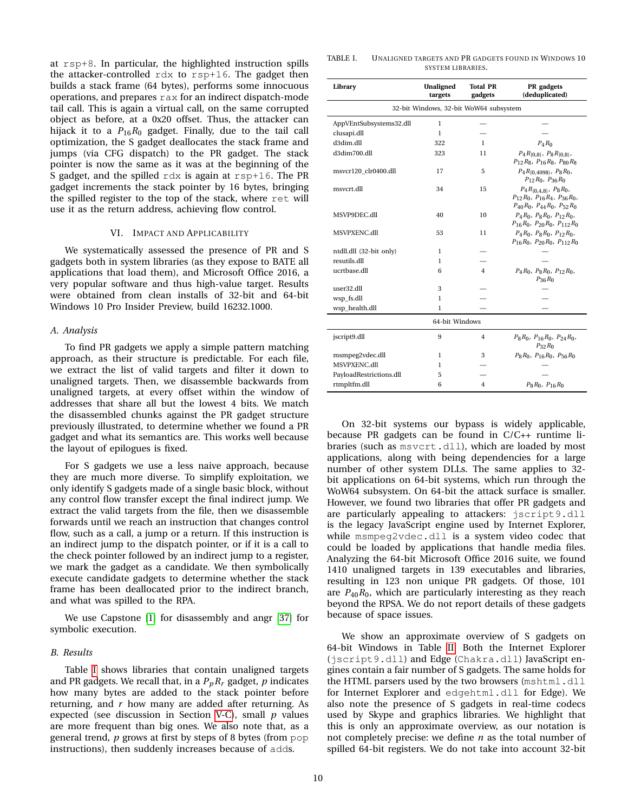at rsp+8. In particular, the highlighted instruction spills the attacker-controlled rdx to rsp+16. The gadget then builds a stack frame (64 bytes), performs some innocuous operations, and prepares rax for an indirect dispatch-mode tail call. This is again a virtual call, on the same corrupted object as before, at a 0x20 offset. Thus, the attacker can hijack it to a  $P_{16}R_0$  gadget. Finally, due to the tail call optimization, the S gadget deallocates the stack frame and jumps (via CFG dispatch) to the PR gadget. The stack pointer is now the same as it was at the beginning of the S gadget, and the spilled rdx is again at rsp+16. The PR gadget increments the stack pointer by 16 bytes, bringing the spilled register to the top of the stack, where ret will use it as the return address, achieving flow control.

#### VI. IMPACT AND APPLICABILITY

<span id="page-9-0"></span>We systematically assessed the presence of PR and S gadgets both in system libraries (as they expose to BATE all applications that load them), and Microsoft Office 2016, a very popular software and thus high-value target. Results were obtained from clean installs of 32-bit and 64-bit Windows 10 Pro Insider Preview, build 16232.1000.

#### *A. Analysis*

To find PR gadgets we apply a simple pattern matching approach, as their structure is predictable. For each file, we extract the list of valid targets and filter it down to unaligned targets. Then, we disassemble backwards from unaligned targets, at every offset within the window of addresses that share all but the lowest 4 bits. We match the disassembled chunks against the PR gadget structure previously illustrated, to determine whether we found a PR gadget and what its semantics are. This works well because the layout of epilogues is fixed.

For S gadgets we use a less naive approach, because they are much more diverse. To simplify exploitation, we only identify S gadgets made of a single basic block, without any control flow transfer except the final indirect jump. We extract the valid targets from the file, then we disassemble forwards until we reach an instruction that changes control flow, such as a call, a jump or a return. If this instruction is an indirect jump to the dispatch pointer, or if it is a call to the check pointer followed by an indirect jump to a register, we mark the gadget as a candidate. We then symbolically execute candidate gadgets to determine whether the stack frame has been deallocated prior to the indirect branch, and what was spilled to the RPA.

We use Capstone [\[1\]](#page-13-37) for disassembly and angr [\[37\]](#page-13-38) for symbolic execution.

## *B. Results*

Table [I](#page-9-1) shows libraries that contain unaligned targets and PR gadgets. We recall that, in a *PpR<sup>r</sup>* gadget, *p* indicates how many bytes are added to the stack pointer before returning, and *r* how many are added after returning. As expected (see discussion in Section [V-C\)](#page-6-1), small *p* values are more frequent than big ones. We also note that, as a general trend, *p* grows at first by steps of 8 bytes (from pop instructions), then suddenly increases because of adds.

<span id="page-9-1"></span>

| TABLE I. | <b>UNALIGNED TARGETS AND PR GADGETS FOUND IN WINDOWS 10</b> |
|----------|-------------------------------------------------------------|
|          | SYSTEM LIBRARIES.                                           |

| Library                                | <b>Unaligned</b><br>targets | <b>Total PR</b><br>gadgets | PR gadgets<br>(deduplicated)                                                                                         |  |  |  |  |
|----------------------------------------|-----------------------------|----------------------------|----------------------------------------------------------------------------------------------------------------------|--|--|--|--|
| 32-bit Windows, 32-bit WoW64 subsystem |                             |                            |                                                                                                                      |  |  |  |  |
| AppVEntSubsystems32.dll                | 1                           |                            |                                                                                                                      |  |  |  |  |
| clusapi.dll                            | $\mathbf{1}$                |                            |                                                                                                                      |  |  |  |  |
| d3dim.dll                              | 322                         | $\mathbf{1}$               | $P_4R_0$                                                                                                             |  |  |  |  |
| d3dim700.dll                           | 323                         | 11                         | $P_4R_{\{0,8\}},\ P_8R_{\{0,8\}},$<br>$P_{12}R_8, P_{16}R_8, P_{80}R_8$                                              |  |  |  |  |
| msvcr120 clr0400.dll                   | 17                          | 5                          | $P_4R_{[0.4098]}, P_8R_0,$<br>$P_{12}R_0$ , $P_{36}R_0$                                                              |  |  |  |  |
| msvcrt.dll                             | 34                          | 15                         | $P_4R_{\{0,4,8\}},\ P_8R_0,$<br>$P_{12}R_0$ , $P_{16}R_4$ , $P_{36}R_0$ ,<br>$P_{40}R_0$ , $P_{44}R_0$ , $P_{52}R_0$ |  |  |  |  |
| MSVP9DEC.dll                           | 40                          | 10                         | $P_4R_0$ , $P_8R_0$ , $P_{12}R_0$ ,<br>$P_{16}R_0$ , $P_{20}R_0$ , $P_{112}R_0$                                      |  |  |  |  |
| MSVPXENC.dll                           | 53                          | 11                         | $P_4R_0$ , $P_8R_0$ , $P_{12}R_0$ ,<br>$P_{16}R_0$ , $P_{20}R_0$ , $P_{112}R_0$                                      |  |  |  |  |
| ntdll.dll (32-bit only)                | 1                           |                            |                                                                                                                      |  |  |  |  |
| resutils.dll                           | 1                           |                            |                                                                                                                      |  |  |  |  |
| ucrtbase.dll                           | 6                           | $\overline{4}$             | $P_4R_0$ , $P_8R_0$ , $P_{12}R_0$ ,<br>$P_{36}R_0$                                                                   |  |  |  |  |
| user32.dll                             | 3                           |                            |                                                                                                                      |  |  |  |  |
| wsp fs.dll                             | 1                           |                            |                                                                                                                      |  |  |  |  |
| wsp_health.dll                         | 1                           |                            |                                                                                                                      |  |  |  |  |
| 64-bit Windows                         |                             |                            |                                                                                                                      |  |  |  |  |
| jscript9.dll                           | 9                           | 4                          | $P_8R_0$ , $P_{16}R_0$ , $P_{24}R_0$ ,<br>$P_3$ <sub>2</sub> $R_0$                                                   |  |  |  |  |
| msmpeg2vdec.dll                        | 1                           | 3                          | $P_8R_0$ , $P_{16}R_0$ , $P_{56}R_0$                                                                                 |  |  |  |  |
| MSVPXENC.dll                           | 1                           |                            |                                                                                                                      |  |  |  |  |
| PayloadRestrictions.dll                | 5                           |                            |                                                                                                                      |  |  |  |  |
| rtmpltfm.dll                           | 6                           | 4                          | $P_8R_0, P_{16}R_0$                                                                                                  |  |  |  |  |

On 32-bit systems our bypass is widely applicable, because PR gadgets can be found in C/C++ runtime libraries (such as msvcrt.dll), which are loaded by most applications, along with being dependencies for a large number of other system DLLs. The same applies to 32 bit applications on 64-bit systems, which run through the WoW64 subsystem. On 64-bit the attack surface is smaller. However, we found two libraries that offer PR gadgets and are particularly appealing to attackers: jscript9.dll is the legacy JavaScript engine used by Internet Explorer, while msmpeg2vdec.dll is a system video codec that could be loaded by applications that handle media files. Analyzing the 64-bit Microsoft Office 2016 suite, we found 1410 unaligned targets in 139 executables and libraries, resulting in 123 non unique PR gadgets. Of those, 101 are  $P_{40}R_0$ , which are particularly interesting as they reach beyond the RPSA. We do not report details of these gadgets because of space issues.

We show an approximate overview of S gadgets on 64-bit Windows in Table [II.](#page-10-1) Both the Internet Explorer (jscript9.dll) and Edge (Chakra.dll) JavaScript engines contain a fair number of S gadgets. The same holds for the HTML parsers used by the two browsers (mshtml.dll for Internet Explorer and edgehtml.dll for Edge). We also note the presence of S gadgets in real-time codecs used by Skype and graphics libraries. We highlight that this is only an approximate overview, as our notation is not completely precise: we define *n* as the total number of spilled 64-bit registers. We do not take into account 32-bit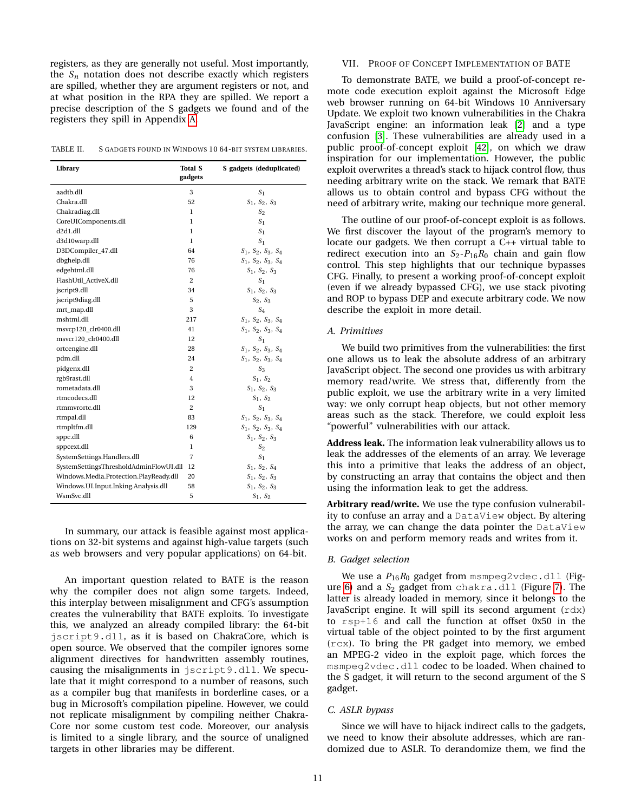registers, as they are generally not useful. Most importantly, the  $S_n$  notation does not describe exactly which registers are spilled, whether they are argument registers or not, and at what position in the RPA they are spilled. We report a precise description of the S gadgets we found and of the registers they spill in Appendix [A.](#page-14-7)

<span id="page-10-1"></span>

| TABLE II.<br>S GADGETS FOUND IN WINDOWS 10 64-BIT SYSTEM LIBRARIES. |
|---------------------------------------------------------------------|
|---------------------------------------------------------------------|

| Library                                | <b>Total S</b><br>gadgets | S gadgets (deduplicated)      |
|----------------------------------------|---------------------------|-------------------------------|
| aadtb.dll                              | 3                         | S <sub>1</sub>                |
| Chakra.dll                             | 52                        | $S_1$ , $S_2$ , $S_3$         |
| Chakradiag.dll                         | 1                         | S <sub>2</sub>                |
| CoreUIComponents.dll                   | 1                         | S <sub>1</sub>                |
| d2d1.dll                               | 1                         | S <sub>1</sub>                |
| d3d10warp.dll                          | 1                         | S <sub>1</sub>                |
| D3DCompiler_47.dll                     | 64                        | $S_1$ , $S_2$ , $S_3$ , $S_4$ |
| dbghelp.dll                            | 76                        | $S_1$ , $S_2$ , $S_3$ , $S_4$ |
| edgehtml.dll                           | 76                        | $S_1$ , $S_2$ , $S_3$         |
| FlashUtil ActiveX.dll                  | $\overline{c}$            | S <sub>1</sub>                |
| jscript9.dll                           | 34                        | $S_1$ , $S_2$ , $S_3$         |
| jscript9diag.dll                       | 5                         | $S_2, S_3$                    |
| mrt_map.dll                            | 3                         | $S_A$                         |
| mshtml.dll                             | 217                       | $S_1$ , $S_2$ , $S_3$ , $S_4$ |
| msvcp120 clr0400.dll                   | 41                        | $S_1$ , $S_2$ , $S_3$ , $S_4$ |
| msvcr120_clr0400.dll                   | 12                        | S <sub>1</sub>                |
| ortcengine.dll                         | 28                        | $S_1$ , $S_2$ , $S_3$ , $S_4$ |
| pdm.dll                                | 24                        | $S_1$ , $S_2$ , $S_3$ , $S_4$ |
| pidgenx.dll                            | $\overline{2}$            | $S_3$                         |
| rgb9rast.dll                           | 4                         | $S_1, S_2$                    |
| rometadata.dll                         | 3                         | $S_1$ , $S_2$ , $S_3$         |
| rtmcodecs.dll                          | 12                        | $S_1, S_2$                    |
| rtmmvrortc.dll                         | $\overline{c}$            | S <sub>1</sub>                |
| rtmpal.dll                             | 83                        | $S_1$ , $S_2$ , $S_3$ , $S_4$ |
| rtmpltfm.dll                           | 129                       | $S_1$ , $S_2$ , $S_3$ , $S_4$ |
| sppc.dll                               | 6                         | $S_1$ , $S_2$ , $S_3$         |
| sppcext.dll                            | 1                         | S <sub>2</sub>                |
| SystemSettings.Handlers.dll            | $\overline{7}$            | S <sub>1</sub>                |
| SystemSettingsThresholdAdminFlowUI.dll | 12                        | $S_1$ , $S_2$ , $S_4$         |
| Windows.Media.Protection.PlayReady.dll | 20                        | $S_1$ , $S_2$ , $S_3$         |
| Windows.UI.Input.Inking.Analysis.dll   | 58                        | $S_1$ , $S_2$ , $S_3$         |
| WsmSvc.dll                             | 5                         | $S_1, S_2$                    |

In summary, our attack is feasible against most applications on 32-bit systems and against high-value targets (such as web browsers and very popular applications) on 64-bit.

An important question related to BATE is the reason why the compiler does not align some targets. Indeed, this interplay between misalignment and CFG's assumption creates the vulnerability that BATE exploits. To investigate this, we analyzed an already compiled library: the 64-bit jscript9.dll, as it is based on ChakraCore, which is open source. We observed that the compiler ignores some alignment directives for handwritten assembly routines, causing the misalignments in jscript9.dll. We speculate that it might correspond to a number of reasons, such as a compiler bug that manifests in borderline cases, or a bug in Microsoft's compilation pipeline. However, we could not replicate misalignment by compiling neither Chakra-Core nor some custom test code. Moreover, our analysis is limited to a single library, and the source of unaligned targets in other libraries may be different.

#### <span id="page-10-0"></span>VII. PROOF OF CONCEPT IMPLEMENTATION OF BATE

To demonstrate BATE, we build a proof-of-concept remote code execution exploit against the Microsoft Edge web browser running on 64-bit Windows 10 Anniversary Update. We exploit two known vulnerabilities in the Chakra JavaScript engine: an information leak [\[2\]](#page-13-23) and a type confusion [\[3\]](#page-13-24). These vulnerabilities are already used in a public proof-of-concept exploit [\[42\]](#page-13-39), on which we draw inspiration for our implementation. However, the public exploit overwrites a thread's stack to hijack control flow, thus needing arbitrary write on the stack. We remark that BATE allows us to obtain control and bypass CFG without the need of arbitrary write, making our technique more general.

The outline of our proof-of-concept exploit is as follows. We first discover the layout of the program's memory to locate our gadgets. We then corrupt a C++ virtual table to redirect execution into an  $S_2$ - $P_{16}R_0$  chain and gain flow control. This step highlights that our technique bypasses CFG. Finally, to present a working proof-of-concept exploit (even if we already bypassed CFG), we use stack pivoting and ROP to bypass DEP and execute arbitrary code. We now describe the exploit in more detail.

#### *A. Primitives*

We build two primitives from the vulnerabilities: the first one allows us to leak the absolute address of an arbitrary JavaScript object. The second one provides us with arbitrary memory read/write. We stress that, differently from the public exploit, we use the arbitrary write in a very limited way: we only corrupt heap objects, but not other memory areas such as the stack. Therefore, we could exploit less "powerful" vulnerabilities with our attack.

**Address leak.** The information leak vulnerability allows us to leak the addresses of the elements of an array. We leverage this into a primitive that leaks the address of an object, by constructing an array that contains the object and then using the information leak to get the address.

**Arbitrary read/write.** We use the type confusion vulnerability to confuse an array and a DataView object. By altering the array, we can change the data pointer the DataView works on and perform memory reads and writes from it.

#### *B. Gadget selection*

We use a  $P_{16}R_0$  gadget from msmpeg2vdec.dll (Figure [6\)](#page-11-0) and a *S*<sup>2</sup> gadget from chakra.dll (Figure [7\)](#page-11-1). The latter is already loaded in memory, since it belongs to the JavaScript engine. It will spill its second argument (rdx) to rsp+16 and call the function at offset 0x50 in the virtual table of the object pointed to by the first argument (rcx). To bring the PR gadget into memory, we embed an MPEG-2 video in the exploit page, which forces the msmpeg2vdec.dll codec to be loaded. When chained to the S gadget, it will return to the second argument of the S gadget.

## *C. ASLR bypass*

Since we will have to hijack indirect calls to the gadgets, we need to know their absolute addresses, which are randomized due to ASLR. To derandomize them, we find the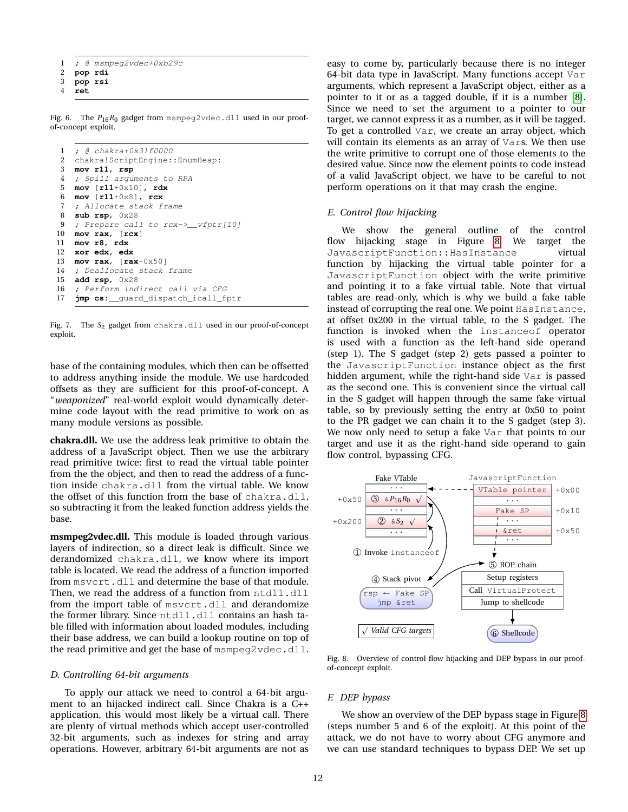- 1 ; @ msmpeq2vdec+0xb29c
- 2 **pop rdi**
- 3 **pop rsi**
- <span id="page-11-0"></span>4 **ret**

Fig. 6. The *P*16*R*<sup>0</sup> gadget from msmpeg2vdec.dll used in our proofof-concept exploit.

```
1 ; @ chakra+0x31f0000
2 chakra!ScriptEngine::EnumHeap:
3 mov r11, rsp
4 ; Spill arguments to RPA
5 mov [r11+0x10], rdx
6 mov [r11+0x8], rcx
7 ; Allocate stack frame
8 sub rsp, 0x28
9 ; Prepare call to rcx->__vfptr[10]
10 mov rax, [rcx]
11 mov r8, rdx
12 xor edx, edx
13 mov rax, [rax+0x50]
14 ; Deallocate stack frame
15 add rsp, 0x28
16 ; Perform indirect call via CFG<br>17 imp cs: quard dispatch icall fi
   17 jmp cs:__guard_dispatch_icall_fptr
```
<span id="page-11-1"></span>Fig. 7. The S<sub>2</sub> gadget from chakra.dll used in our proof-of-concept exploit.

base of the containing modules, which then can be offsetted to address anything inside the module. We use hardcoded offsets as they are sufficient for this proof-of-concept. A "*weaponized*" real-world exploit would dynamically determine code layout with the read primitive to work on as many module versions as possible.

**chakra.dll.** We use the address leak primitive to obtain the address of a JavaScript object. Then we use the arbitrary read primitive twice: first to read the virtual table pointer from the the object, and then to read the address of a function inside chakra.dll from the virtual table. We know the offset of this function from the base of chakra.dll, so subtracting it from the leaked function address yields the base.

**msmpeg2vdec.dll.** This module is loaded through various layers of indirection, so a direct leak is difficult. Since we derandomized chakra.dll, we know where its import table is located. We read the address of a function imported from msvcrt.dll and determine the base of that module. Then, we read the address of a function from ntdll.dll from the import table of msvcrt.dll and derandomize the former library. Since ntdll.dll contains an hash table filled with information about loaded modules, including their base address, we can build a lookup routine on top of the read primitive and get the base of msmpeg2vdec.dll.

## *D. Controlling 64-bit arguments*

To apply our attack we need to control a 64-bit argument to an hijacked indirect call. Since Chakra is a C++ application, this would most likely be a virtual call. There are plenty of virtual methods which accept user-controlled 32-bit arguments, such as indexes for string and array operations. However, arbitrary 64-bit arguments are not as easy to come by, particularly because there is no integer 64-bit data type in JavaScript. Many functions accept Var arguments, which represent a JavaScript object, either as a pointer to it or as a tagged double, if it is a number [\[8\]](#page-13-40). Since we need to set the argument to a pointer to our target, we cannot express it as a number, as it will be tagged. To get a controlled Var, we create an array object, which will contain its elements as an array of Vars. We then use the write primitive to corrupt one of those elements to the desired value. Since now the element points to code instead of a valid JavaScript object, we have to be careful to not perform operations on it that may crash the engine.

## *E. Control flow hijacking*

We show the general outline of the control flow hijacking stage in Figure [8.](#page-11-2) We target the JavascriptFunction:: HasInstance virtual function by hijacking the virtual table pointer for a JavascriptFunction object with the write primitive and pointing it to a fake virtual table. Note that virtual tables are read-only, which is why we build a fake table instead of corrupting the real one. We point HasInstance, at offset 0x200 in the virtual table, to the S gadget. The function is invoked when the instanceof operator is used with a function as the left-hand side operand (step 1). The S gadget (step 2) gets passed a pointer to the JavascriptFunction instance object as the first hidden argument, while the right-hand side Var is passed as the second one. This is convenient since the virtual call in the S gadget will happen through the same fake virtual table, so by previously setting the entry at 0x50 to point to the PR gadget we can chain it to the S gadget (step 3). We now only need to setup a fake Var that points to our target and use it as the right-hand side operand to gain flow control, bypassing CFG.



<span id="page-11-2"></span>Fig. 8. Overview of control flow hijacking and DEP bypass in our proofof-concept exploit.

#### *F. DEP bypass*

We show an overview of the DEP bypass stage in Figure [8](#page-11-2) (steps number 5 and 6 of the exploit). At this point of the attack, we do not have to worry about CFG anymore and we can use standard techniques to bypass DEP. We set up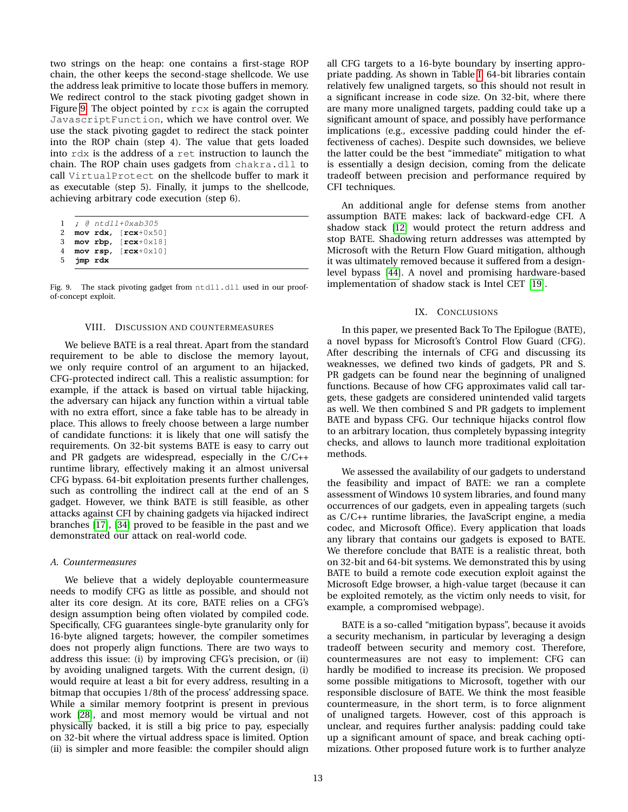two strings on the heap: one contains a first-stage ROP chain, the other keeps the second-stage shellcode. We use the address leak primitive to locate those buffers in memory. We redirect control to the stack pivoting gadget shown in Figure [9.](#page-12-2) The object pointed by rcx is again the corrupted JavascriptFunction, which we have control over. We use the stack pivoting gagdet to redirect the stack pointer into the ROP chain (step 4). The value that gets loaded into rdx is the address of a ret instruction to launch the chain. The ROP chain uses gadgets from chakra.dll to call VirtualProtect on the shellcode buffer to mark it as executable (step 5). Finally, it jumps to the shellcode, achieving arbitrary code execution (step 6).

```
1 ; @ ntdll+0xab305
2 mov rdx, [rcx+0x50]
```

```
3 mov rbp, [rcx+0x18]
```

```
4 mov rsp, [rcx+0x10]
```

```
5 jmp rdx
```
Fig. 9. The stack pivoting gadget from ntdll.dll used in our proofof-concept exploit.

## VIII. DISCUSSION AND COUNTERMEASURES

<span id="page-12-0"></span>We believe BATE is a real threat. Apart from the standard requirement to be able to disclose the memory layout, we only require control of an argument to an hijacked, CFG-protected indirect call. This a realistic assumption: for example, if the attack is based on virtual table hijacking, the adversary can hijack any function within a virtual table with no extra effort, since a fake table has to be already in place. This allows to freely choose between a large number of candidate functions: it is likely that one will satisfy the requirements. On 32-bit systems BATE is easy to carry out and PR gadgets are widespread, especially in the C/C++ runtime library, effectively making it an almost universal CFG bypass. 64-bit exploitation presents further challenges, such as controlling the indirect call at the end of an S gadget. However, we think BATE is still feasible, as other attacks against CFI by chaining gadgets via hijacked indirect branches [\[17\]](#page-13-14), [\[34\]](#page-13-8) proved to be feasible in the past and we demonstrated our attack on real-world code.

# *A. Countermeasures*

We believe that a widely deployable countermeasure needs to modify CFG as little as possible, and should not alter its core design. At its core, BATE relies on a CFG's design assumption being often violated by compiled code. Specifically, CFG guarantees single-byte granularity only for 16-byte aligned targets; however, the compiler sometimes does not properly align functions. There are two ways to address this issue: (i) by improving CFG's precision, or (ii) by avoiding unaligned targets. With the current design, (i) would require at least a bit for every address, resulting in a bitmap that occupies 1/8th of the process' addressing space. While a similar memory footprint is present in previous work [\[28\]](#page-13-28), and most memory would be virtual and not physically backed, it is still a big price to pay, especially on 32-bit where the virtual address space is limited. Option (ii) is simpler and more feasible: the compiler should align all CFG targets to a 16-byte boundary by inserting appropriate padding. As shown in Table [I,](#page-9-1) 64-bit libraries contain relatively few unaligned targets, so this should not result in a significant increase in code size. On 32-bit, where there are many more unaligned targets, padding could take up a significant amount of space, and possibly have performance implications (e.g., excessive padding could hinder the effectiveness of caches). Despite such downsides, we believe the latter could be the best "immediate" mitigation to what is essentially a design decision, coming from the delicate tradeoff between precision and performance required by CFI techniques.

An additional angle for defense stems from another assumption BATE makes: lack of backward-edge CFI. A shadow stack [\[12\]](#page-13-26) would protect the return address and stop BATE. Shadowing return addresses was attempted by Microsoft with the Return Flow Guard mitigation, although it was ultimately removed because it suffered from a designlevel bypass [\[44\]](#page-14-8). A novel and promising hardware-based implementation of shadow stack is Intel CET [\[19\]](#page-13-41).

# IX. CONCLUSIONS

<span id="page-12-1"></span>In this paper, we presented Back To The Epilogue (BATE), a novel bypass for Microsoft's Control Flow Guard (CFG). After describing the internals of CFG and discussing its weaknesses, we defined two kinds of gadgets, PR and S. PR gadgets can be found near the beginning of unaligned functions. Because of how CFG approximates valid call targets, these gadgets are considered unintended valid targets as well. We then combined S and PR gadgets to implement BATE and bypass CFG. Our technique hijacks control flow to an arbitrary location, thus completely bypassing integrity checks, and allows to launch more traditional exploitation methods.

We assessed the availability of our gadgets to understand the feasibility and impact of BATE: we ran a complete assessment of Windows 10 system libraries, and found many occurrences of our gadgets, even in appealing targets (such as C/C++ runtime libraries, the JavaScript engine, a media codec, and Microsoft Office). Every application that loads any library that contains our gadgets is exposed to BATE. We therefore conclude that BATE is a realistic threat, both on 32-bit and 64-bit systems. We demonstrated this by using BATE to build a remote code execution exploit against the Microsoft Edge browser, a high-value target (because it can be exploited remotely, as the victim only needs to visit, for example, a compromised webpage).

BATE is a so-called "mitigation bypass", because it avoids a security mechanism, in particular by leveraging a design tradeoff between security and memory cost. Therefore, countermeasures are not easy to implement: CFG can hardly be modified to increase its precision. We proposed some possible mitigations to Microsoft, together with our responsible disclosure of BATE. We think the most feasible countermeasure, in the short term, is to force alignment of unaligned targets. However, cost of this approach is unclear, and requires further analysis: padding could take up a significant amount of space, and break caching optimizations. Other proposed future work is to further analyze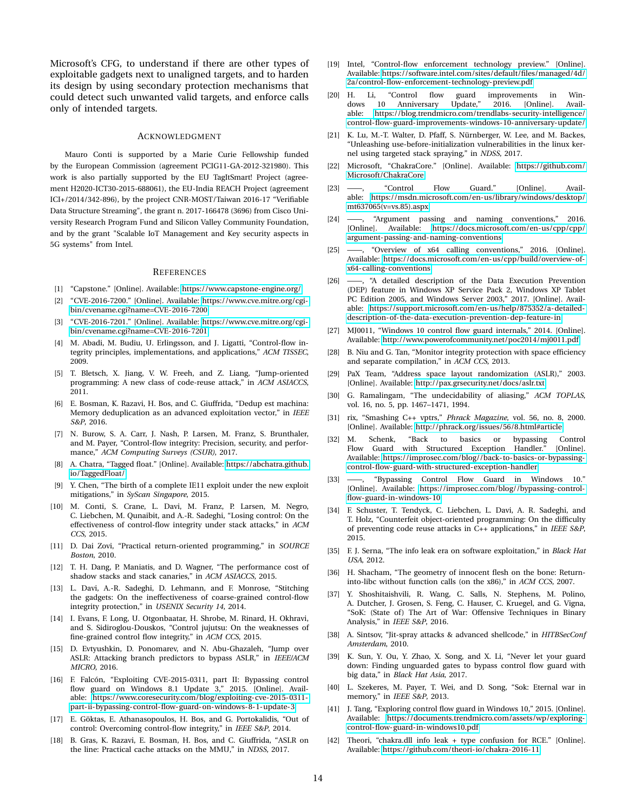Microsoft's CFG, to understand if there are other types of exploitable gadgets next to unaligned targets, and to harden its design by using secondary protection mechanisms that could detect such unwanted valid targets, and enforce calls only of intended targets.

## ACKNOWLEDGMENT

Mauro Conti is supported by a Marie Curie Fellowship funded by the European Commission (agreement PCIG11-GA-2012-321980). This work is also partially supported by the EU TagItSmart! Project (agreement H2020-ICT30-2015-688061), the EU-India REACH Project (agreement ICI+/2014/342-896), by the project CNR-MOST/Taiwan 2016-17 "Verifiable Data Structure Streaming", the grant n. 2017-166478 (3696) from Cisco University Research Program Fund and Silicon Valley Community Foundation, and by the grant "Scalable IoT Management and Key security aspects in 5G systems" from Intel.

#### **REFERENCES**

- <span id="page-13-37"></span>[1] "Capstone." [Online]. Available:<https://www.capstone-engine.org/>
- <span id="page-13-23"></span>[2] "CVE-2016-7200." [Online]. Available: [https://www.cve.mitre.org/cgi](https://www.cve.mitre.org/cgi-bin/cvename.cgi?name=CVE-2016-7200)[bin/cvename.cgi?name=CVE-2016-7200](https://www.cve.mitre.org/cgi-bin/cvename.cgi?name=CVE-2016-7200)
- <span id="page-13-24"></span>[3] "CVE-2016-7201." [Online]. Available: [https://www.cve.mitre.org/cgi](https://www.cve.mitre.org/cgi-bin/cvename.cgi?name=CVE-2016-7201)[bin/cvename.cgi?name=CVE-2016-7201](https://www.cve.mitre.org/cgi-bin/cvename.cgi?name=CVE-2016-7201)
- <span id="page-13-10"></span>[4] M. Abadi, M. Budiu, U. Erlingsson, and J. Ligatti, "Control-flow integrity principles, implementations, and applications," *ACM TISSEC*, 2009.
- <span id="page-13-7"></span>[5] T. Bletsch, X. Jiang, V. W. Freeh, and Z. Liang, "Jump-oriented programming: A new class of code-reuse attack," in *ACM ASIACCS*, 2011.
- <span id="page-13-3"></span>[6] E. Bosman, K. Razavi, H. Bos, and C. Giuffrida, "Dedup est machina: Memory deduplication as an advanced exploitation vector," in *IEEE S&P*, 2016.
- <span id="page-13-12"></span>[7] N. Burow, S. A. Carr, J. Nash, P. Larsen, M. Franz, S. Brunthaler, and M. Payer, "Control-flow integrity: Precision, security, and performance," *ACM Computing Surveys (CSUR)*, 2017.
- <span id="page-13-40"></span>[8] A. Chatra, "Tagged float." [Online]. Available: [https://abchatra.github.](https://abchatra.github.io/TaggedFloat/) [io/TaggedFloat/](https://abchatra.github.io/TaggedFloat/)
- <span id="page-13-17"></span>[9] Y. Chen, "The birth of a complete IE11 exploit under the new exploit mitigations," in *SyScan Singapore*, 2015.
- <span id="page-13-15"></span>[10] M. Conti, S. Crane, L. Davi, M. Franz, P. Larsen, M. Negro, C. Liebchen, M. Qunaibit, and A.-R. Sadeghi, "Losing control: On the effectiveness of control-flow integrity under stack attacks," in *ACM CCS*, 2015.
- <span id="page-13-25"></span>[11] D. Dai Zovi, "Practical return-oriented programming," in *SOURCE Boston*, 2010.
- <span id="page-13-26"></span>[12] T. H. Dang, P. Maniatis, and D. Wagner, "The performance cost of shadow stacks and stack canaries," in *ACM ASIACCS*, 2015.
- <span id="page-13-13"></span>[13] L. Davi, A.-R. Sadeghi, D. Lehmann, and F. Monrose, "Stitching the gadgets: On the ineffectiveness of coarse-grained control-flow integrity protection," in *USENIX Security 14*, 2014.
- <span id="page-13-29"></span>[14] I. Evans, F. Long, U. Otgonbaatar, H. Shrobe, M. Rinard, H. Okhravi, and S. Sidiroglou-Douskos, "Control jujutsu: On the weaknesses of fine-grained control flow integrity," in *ACM CCS*, 2015.
- <span id="page-13-4"></span>[15] D. Evtyushkin, D. Ponomarev, and N. Abu-Ghazaleh, "Jump over ASLR: Attacking branch predictors to bypass ASLR," in *IEEE/ACM MICRO*, 2016.
- <span id="page-13-20"></span>[16] F. Falcón, "Exploiting CVE-2015-0311, part II: Bypassing control flow guard on Windows 8.1 Update 3," 2015. [Online]. Available: [https://www.coresecurity.com/blog/exploiting-cve-2015-0311](https://www.coresecurity.com/blog/exploiting-cve-2015-0311-part-ii-bypassing-control-flow-guard-on-windows-8-1-update-3) [part-ii-bypassing-control-flow-guard-on-windows-8-1-update-3](https://www.coresecurity.com/blog/exploiting-cve-2015-0311-part-ii-bypassing-control-flow-guard-on-windows-8-1-update-3)
- <span id="page-13-14"></span>[17] E. Göktas, E. Athanasopoulos, H. Bos, and G. Portokalidis, "Out of control: Overcoming control-flow integrity," in *IEEE S&P*, 2014.
- <span id="page-13-5"></span>[18] B. Gras, K. Razavi, E. Bosman, H. Bos, and C. Giuffrida, "ASLR on the line: Practical cache attacks on the MMU," in *NDSS*, 2017.
- <span id="page-13-41"></span>[19] Intel, "Control-flow enforcement technology preview." [Online]. Available: [https://software.intel.com/sites/default/files/managed/4d/](https://software.intel.com/sites/default/files/managed/4d/2a/control-flow-enforcement-technology-preview.pdf) [2a/control-flow-enforcement-technology-preview.pdf](https://software.intel.com/sites/default/files/managed/4d/2a/control-flow-enforcement-technology-preview.pdf)
- <span id="page-13-33"></span>[20] H. Li, "Control flow guard improvements in Windows 10 Anniversary Update," 2016. [Online]. Available: [https://blog.trendmicro.com/trendlabs-security-intelligence/](https://blog.trendmicro.com/trendlabs-security-intelligence/control-flow-guard-improvements-windows-10-anniversary-update/) [control-flow-guard-improvements-windows-10-anniversary-update/](https://blog.trendmicro.com/trendlabs-security-intelligence/control-flow-guard-improvements-windows-10-anniversary-update/)
- <span id="page-13-36"></span>[21] K. Lu, M.-T. Walter, D. Pfaff, S. Nürnberger, W. Lee, and M. Backes, "Unleashing use-before-initialization vulnerabilities in the linux kernel using targeted stack spraying," in *NDSS*, 2017.
- <span id="page-13-22"></span>[22] Microsoft, "ChakraCore." [Online]. Available: [https://github.com/](https://github.com/Microsoft/ChakraCore) [Microsoft/ChakraCore](https://github.com/Microsoft/ChakraCore)
- <span id="page-13-16"></span>[23] ——, "Control Flow Guard." [Online]. Available: [https://msdn.microsoft.com/en-us/library/windows/desktop/](https://msdn.microsoft.com/en-us/library/windows/desktop/mt637065(v=vs.85).aspx) [mt637065\(v=vs.85\).aspx](https://msdn.microsoft.com/en-us/library/windows/desktop/mt637065(v=vs.85).aspx)
- <span id="page-13-34"></span>[24] ——, "Argument passing and naming conventions," 2016. [Online]. Available: [https://docs.microsoft.com/en-us/cpp/cpp/](https://docs.microsoft.com/en-us/cpp/cpp/argument-passing-and-naming-conventions) [argument-passing-and-naming-conventions](https://docs.microsoft.com/en-us/cpp/cpp/argument-passing-and-naming-conventions)
- <span id="page-13-35"></span>[25] ——, "Overview of x64 calling conventions," 2016. [Online]. Available: [https://docs.microsoft.com/en-us/cpp/build/overview-of](https://docs.microsoft.com/en-us/cpp/build/overview-of-x64-calling-conventions)[x64-calling-conventions](https://docs.microsoft.com/en-us/cpp/build/overview-of-x64-calling-conventions)
- <span id="page-13-6"></span>[26] ——, "A detailed description of the Data Execution Prevention (DEP) feature in Windows XP Service Pack 2, Windows XP Tablet PC Edition 2005, and Windows Server 2003," 2017. [Online]. Available: [https://support.microsoft.com/en-us/help/875352/a-detailed](https://support.microsoft.com/en-us/help/875352/a-detailed-description-of-the-data-execution-prevention-dep-feature-in)[description-of-the-data-execution-prevention-dep-feature-in](https://support.microsoft.com/en-us/help/875352/a-detailed-description-of-the-data-execution-prevention-dep-feature-in)
- <span id="page-13-30"></span>[27] MJ0011, "Windows 10 control flow guard internals," 2014. [Online]. Available:<http://www.powerofcommunity.net/poc2014/mj0011.pdf>
- <span id="page-13-28"></span>[28] B. Niu and G. Tan, "Monitor integrity protection with space efficiency and separate compilation," in *ACM CCS*, 2013.
- <span id="page-13-1"></span>[29] PaX Team, "Address space layout randomization (ASLR)," 2003. [Online]. Available:<http://pax.grsecurity.net/docs/aslr.txt>
- <span id="page-13-11"></span>[30] G. Ramalingam, "The undecidability of aliasing," *ACM TOPLAS*, vol. 16, no. 5, pp. 1467–1471, 1994.
- <span id="page-13-27"></span>[31] rix, "Smashing C++ vptrs," *Phrack Magazine*, vol. 56, no. 8, 2000. [Online]. Available:<http://phrack.org/issues/56/8.html#article>
- <span id="page-13-18"></span>[32] M. Schenk, "Back to basics or bypassing Control Flow Guard with Structured Exception Handler." [Online]. Available: [https://improsec.com/blog//back-to-basics-or-bypassing](https://improsec.com/blog//back-to-basics-or-bypassing-control-flow-guard-with-structured-exception-handler)[control-flow-guard-with-structured-exception-handler](https://improsec.com/blog//back-to-basics-or-bypassing-control-flow-guard-with-structured-exception-handler)
- <span id="page-13-19"></span>[33] ——, "Bypassing Control Flow Guard in Windows 10." [Online]. Available: [https://improsec.com/blog//bypassing-control](https://improsec.com/blog//bypassing-control-flow-guard-in-windows-10)[flow-guard-in-windows-10](https://improsec.com/blog//bypassing-control-flow-guard-in-windows-10)
- <span id="page-13-8"></span>[34] F. Schuster, T. Tendyck, C. Liebchen, L. Davi, A. R. Sadeghi, and T. Holz, "Counterfeit object-oriented programming: On the difficulty of preventing code reuse attacks in C++ applications," in *IEEE S&P*, 2015.
- <span id="page-13-2"></span>[35] F. J. Serna, "The info leak era on software exploitation," in *Black Hat USA*, 2012.
- <span id="page-13-9"></span>[36] H. Shacham, "The geometry of innocent flesh on the bone: Returninto-libc without function calls (on the x86)," in *ACM CCS*, 2007.
- <span id="page-13-38"></span>[37] Y. Shoshitaishvili, R. Wang, C. Salls, N. Stephens, M. Polino, A. Dutcher, J. Grosen, S. Feng, C. Hauser, C. Kruegel, and G. Vigna, "SoK: (State of) The Art of War: Offensive Techniques in Binary Analysis," in *IEEE S&P*, 2016.
- <span id="page-13-32"></span>[38] A. Sintsov, "Jit-spray attacks & advanced shellcode," in *HITBSecConf Amsterdam*, 2010.
- <span id="page-13-21"></span>[39] K. Sun, Y. Ou, Y. Zhao, X. Song, and X. Li, "Never let your guard down: Finding unguarded gates to bypass control flow guard with big data," in *Black Hat Asia*, 2017.
- <span id="page-13-0"></span>[40] L. Szekeres, M. Payer, T. Wei, and D. Song, "Sok: Eternal war in memory," in *IEEE S&P*, 2013.
- <span id="page-13-31"></span>[41] J. Tang, "Exploring control flow guard in Windows 10," 2015. [Online]. Available: [https://documents.trendmicro.com/assets/wp/exploring](https://documents.trendmicro.com/assets/wp/exploring-control-flow-guard-in-windows10.pdf)[control-flow-guard-in-windows10.pdf](https://documents.trendmicro.com/assets/wp/exploring-control-flow-guard-in-windows10.pdf)
- <span id="page-13-39"></span>[42] Theori, "chakra.dll info leak + type confusion for RCE." [Online]. Available:<https://github.com/theori-io/chakra-2016-11>